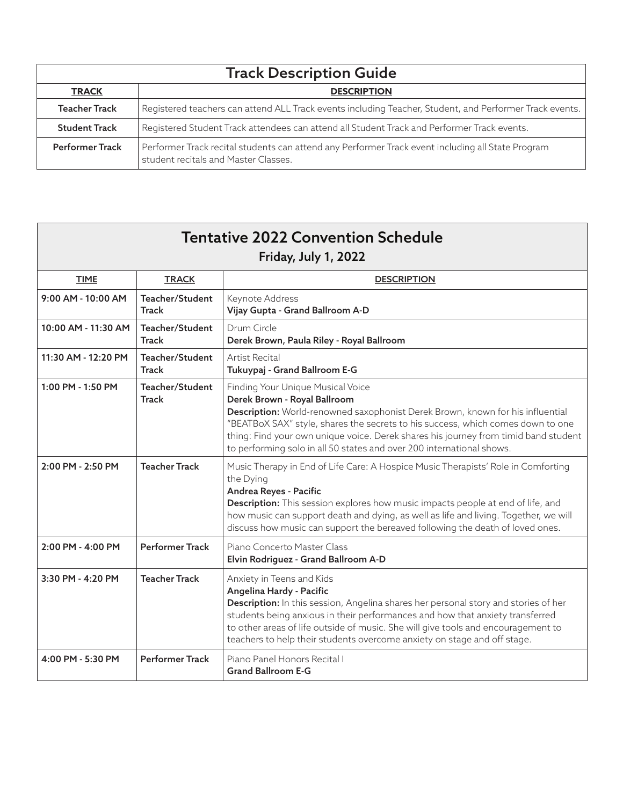| <b>Track Description Guide</b> |                                                                                                                                           |  |
|--------------------------------|-------------------------------------------------------------------------------------------------------------------------------------------|--|
| <b>TRACK</b>                   | <b>DESCRIPTION</b>                                                                                                                        |  |
| <b>Teacher Track</b>           | Registered teachers can attend ALL Track events including Teacher, Student, and Performer Track events.                                   |  |
| <b>Student Track</b>           | Registered Student Track attendees can attend all Student Track and Performer Track events.                                               |  |
| <b>Performer Track</b>         | Performer Track recital students can attend any Performer Track event including all State Program<br>student recitals and Master Classes. |  |

| <b>Tentative 2022 Convention Schedule</b><br><b>Friday, July 1, 2022</b> |                                 |                                                                                                                                                                                                                                                                                                                                                                                                        |  |
|--------------------------------------------------------------------------|---------------------------------|--------------------------------------------------------------------------------------------------------------------------------------------------------------------------------------------------------------------------------------------------------------------------------------------------------------------------------------------------------------------------------------------------------|--|
| <b>TIME</b>                                                              | <b>TRACK</b>                    | <b>DESCRIPTION</b>                                                                                                                                                                                                                                                                                                                                                                                     |  |
| 9:00 AM - 10:00 AM                                                       | Teacher/Student<br><b>Track</b> | Keynote Address<br>Vijay Gupta - Grand Ballroom A-D                                                                                                                                                                                                                                                                                                                                                    |  |
| 10:00 AM - 11:30 AM                                                      | Teacher/Student<br>Track        | Drum Circle<br>Derek Brown, Paula Riley - Royal Ballroom                                                                                                                                                                                                                                                                                                                                               |  |
| 11:30 AM - 12:20 PM                                                      | Teacher/Student<br>Track        | Artist Recital<br>Tukuypaj - Grand Ballroom E-G                                                                                                                                                                                                                                                                                                                                                        |  |
| 1:00 PM - 1:50 PM                                                        | Teacher/Student<br><b>Track</b> | Finding Your Unique Musical Voice<br>Derek Brown - Royal Ballroom<br>Description: World-renowned saxophonist Derek Brown, known for his influential<br>"BEATBoX SAX" style, shares the secrets to his success, which comes down to one<br>thing: Find your own unique voice. Derek shares his journey from timid band student<br>to performing solo in all 50 states and over 200 international shows. |  |
| 2:00 PM - 2:50 PM                                                        | <b>Teacher Track</b>            | Music Therapy in End of Life Care: A Hospice Music Therapists' Role in Comforting<br>the Dying<br>Andrea Reyes - Pacific<br>Description: This session explores how music impacts people at end of life, and<br>how music can support death and dying, as well as life and living. Together, we will<br>discuss how music can support the bereaved following the death of loved ones.                   |  |
| $2:00$ PM - $4:00$ PM                                                    | <b>Performer Track</b>          | Piano Concerto Master Class<br>Elvin Rodriguez - Grand Ballroom A-D                                                                                                                                                                                                                                                                                                                                    |  |
| 3:30 PM - 4:20 PM                                                        | <b>Teacher Track</b>            | Anxiety in Teens and Kids<br>Angelina Hardy - Pacific<br>Description: In this session, Angelina shares her personal story and stories of her<br>students being anxious in their performances and how that anxiety transferred<br>to other areas of life outside of music. She will give tools and encouragement to<br>teachers to help their students overcome anxiety on stage and off stage.         |  |
| 4:00 PM - 5:30 PM                                                        | <b>Performer Track</b>          | Piano Panel Honors Recital I<br><b>Grand Ballroom E-G</b>                                                                                                                                                                                                                                                                                                                                              |  |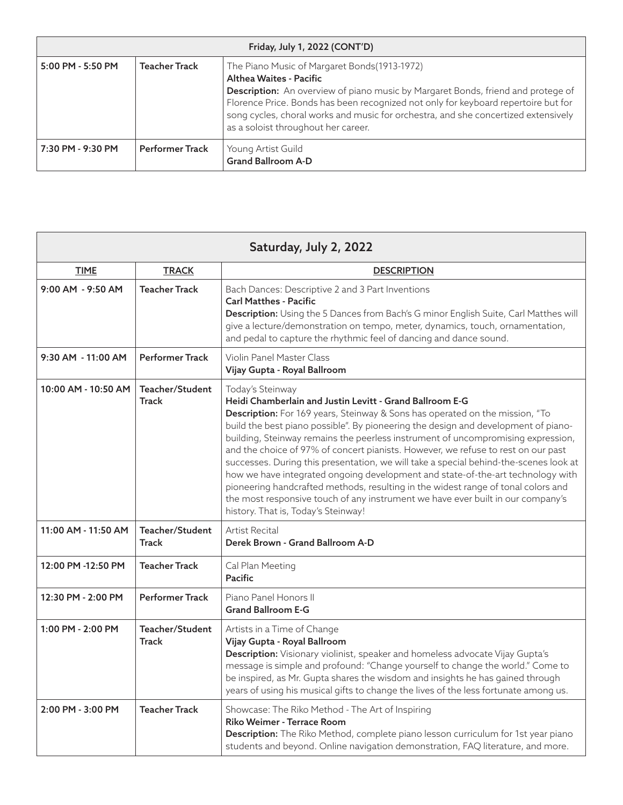| Friday, July 1, 2022 (CONT'D) |                        |                                                                                                                                                                                                                                                                                                                                                                                        |
|-------------------------------|------------------------|----------------------------------------------------------------------------------------------------------------------------------------------------------------------------------------------------------------------------------------------------------------------------------------------------------------------------------------------------------------------------------------|
| 5:00 PM - 5:50 PM             | <b>Teacher Track</b>   | The Piano Music of Margaret Bonds (1913-1972)<br>Althea Waites - Pacific<br><b>Description:</b> An overview of piano music by Margaret Bonds, friend and protege of<br>Florence Price. Bonds has been recognized not only for keyboard repertoire but for<br>song cycles, choral works and music for orchestra, and she concertized extensively<br>as a soloist throughout her career. |
| 7:30 PM - 9:30 PM             | <b>Performer Track</b> | Young Artist Guild<br><b>Grand Ballroom A-D</b>                                                                                                                                                                                                                                                                                                                                        |

| Saturday, July 2, 2022 |                                 |                                                                                                                                                                                                                                                                                                                                                                                                                                                                                                                                                                                                                                                                                                                                                                                                                        |  |
|------------------------|---------------------------------|------------------------------------------------------------------------------------------------------------------------------------------------------------------------------------------------------------------------------------------------------------------------------------------------------------------------------------------------------------------------------------------------------------------------------------------------------------------------------------------------------------------------------------------------------------------------------------------------------------------------------------------------------------------------------------------------------------------------------------------------------------------------------------------------------------------------|--|
| <b>TIME</b>            | <b>TRACK</b>                    | <b>DESCRIPTION</b>                                                                                                                                                                                                                                                                                                                                                                                                                                                                                                                                                                                                                                                                                                                                                                                                     |  |
| 9:00 AM - 9:50 AM      | <b>Teacher Track</b>            | Bach Dances: Descriptive 2 and 3 Part Inventions<br><b>Carl Matthes - Pacific</b><br>Description: Using the 5 Dances from Bach's G minor English Suite, Carl Matthes will<br>give a lecture/demonstration on tempo, meter, dynamics, touch, ornamentation,<br>and pedal to capture the rhythmic feel of dancing and dance sound.                                                                                                                                                                                                                                                                                                                                                                                                                                                                                       |  |
| 9:30 AM - 11:00 AM     | <b>Performer Track</b>          | Violin Panel Master Class<br>Vijay Gupta - Royal Ballroom                                                                                                                                                                                                                                                                                                                                                                                                                                                                                                                                                                                                                                                                                                                                                              |  |
| 10:00 AM - 10:50 AM    | Teacher/Student<br><b>Track</b> | Today's Steinway<br>Heidi Chamberlain and Justin Levitt - Grand Ballroom E-G<br>Description: For 169 years, Steinway & Sons has operated on the mission, "To<br>build the best piano possible". By pioneering the design and development of piano-<br>building, Steinway remains the peerless instrument of uncompromising expression,<br>and the choice of 97% of concert pianists. However, we refuse to rest on our past<br>successes. During this presentation, we will take a special behind-the-scenes look at<br>how we have integrated ongoing development and state-of-the-art technology with<br>pioneering handcrafted methods, resulting in the widest range of tonal colors and<br>the most responsive touch of any instrument we have ever built in our company's<br>history. That is, Today's Steinway! |  |
| 11:00 AM - 11:50 AM    | Teacher/Student<br><b>Track</b> | Artist Recital<br>Derek Brown - Grand Ballroom A-D                                                                                                                                                                                                                                                                                                                                                                                                                                                                                                                                                                                                                                                                                                                                                                     |  |
| 12:00 PM -12:50 PM     | <b>Teacher Track</b>            | Cal Plan Meeting<br><b>Pacific</b>                                                                                                                                                                                                                                                                                                                                                                                                                                                                                                                                                                                                                                                                                                                                                                                     |  |
| 12:30 PM - 2:00 PM     | Performer Track                 | Piano Panel Honors II<br><b>Grand Ballroom E-G</b>                                                                                                                                                                                                                                                                                                                                                                                                                                                                                                                                                                                                                                                                                                                                                                     |  |
| 1:00 PM - 2:00 PM      | Teacher/Student<br><b>Track</b> | Artists in a Time of Change<br>Vijay Gupta - Royal Ballroom<br>Description: Visionary violinist, speaker and homeless advocate Vijay Gupta's<br>message is simple and profound: "Change yourself to change the world." Come to<br>be inspired, as Mr. Gupta shares the wisdom and insights he has gained through<br>years of using his musical gifts to change the lives of the less fortunate among us.                                                                                                                                                                                                                                                                                                                                                                                                               |  |
| 2:00 PM - 3:00 PM      | <b>Teacher Track</b>            | Showcase: The Riko Method - The Art of Inspiring<br>Riko Weimer - Terrace Room<br>Description: The Riko Method, complete piano lesson curriculum for 1st year piano<br>students and beyond. Online navigation demonstration, FAQ literature, and more.                                                                                                                                                                                                                                                                                                                                                                                                                                                                                                                                                                 |  |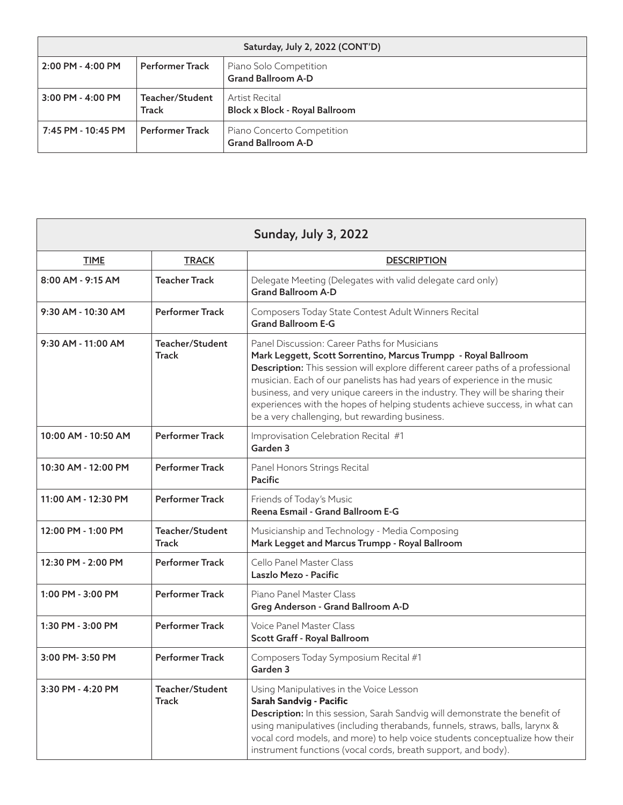| Saturday, July 2, 2022 (CONT'D) |                          |                                                         |
|---------------------------------|--------------------------|---------------------------------------------------------|
| $2:00$ PM - $4:00$ PM           | <b>Performer Track</b>   | Piano Solo Competition<br><b>Grand Ballroom A-D</b>     |
| $3:00$ PM - 4:00 PM             | Teacher/Student<br>Track | Artist Recital<br>Block x Block - Royal Ballroom        |
| $7:45$ PM - 10:45 PM            | <b>Performer Track</b>   | Piano Concerto Competition<br><b>Grand Ballroom A-D</b> |

| <b>Sunday, July 3, 2022</b> |                                 |                                                                                                                                                                                                                                                                                                                                                                                                                                                                                                 |  |
|-----------------------------|---------------------------------|-------------------------------------------------------------------------------------------------------------------------------------------------------------------------------------------------------------------------------------------------------------------------------------------------------------------------------------------------------------------------------------------------------------------------------------------------------------------------------------------------|--|
| <b>TIME</b>                 | <b>TRACK</b>                    | <b>DESCRIPTION</b>                                                                                                                                                                                                                                                                                                                                                                                                                                                                              |  |
| 8:00 AM - 9:15 AM           | <b>Teacher Track</b>            | Delegate Meeting (Delegates with valid delegate card only)<br><b>Grand Ballroom A-D</b>                                                                                                                                                                                                                                                                                                                                                                                                         |  |
| 9:30 AM - 10:30 AM          | <b>Performer Track</b>          | Composers Today State Contest Adult Winners Recital<br><b>Grand Ballroom E-G</b>                                                                                                                                                                                                                                                                                                                                                                                                                |  |
| $9:30$ AM - 11:00 AM        | Teacher/Student<br><b>Track</b> | Panel Discussion: Career Paths for Musicians<br>Mark Leggett, Scott Sorrentino, Marcus Trumpp - Royal Ballroom<br>Description: This session will explore different career paths of a professional<br>musician. Each of our panelists has had years of experience in the music<br>business, and very unique careers in the industry. They will be sharing their<br>experiences with the hopes of helping students achieve success, in what can<br>be a very challenging, but rewarding business. |  |
| 10:00 AM - 10:50 AM         | <b>Performer Track</b>          | Improvisation Celebration Recital #1<br>Garden 3                                                                                                                                                                                                                                                                                                                                                                                                                                                |  |
| 10:30 AM - 12:00 PM         | <b>Performer Track</b>          | Panel Honors Strings Recital<br><b>Pacific</b>                                                                                                                                                                                                                                                                                                                                                                                                                                                  |  |
| 11:00 AM - 12:30 PM         | <b>Performer Track</b>          | Friends of Today's Music<br>Reena Esmail - Grand Ballroom E-G                                                                                                                                                                                                                                                                                                                                                                                                                                   |  |
| 12:00 PM - 1:00 PM          | Teacher/Student<br>Track        | Musicianship and Technology - Media Composing<br>Mark Legget and Marcus Trumpp - Royal Ballroom                                                                                                                                                                                                                                                                                                                                                                                                 |  |
| 12:30 PM - 2:00 PM          | <b>Performer Track</b>          | Cello Panel Master Class<br>Laszlo Mezo - Pacific                                                                                                                                                                                                                                                                                                                                                                                                                                               |  |
| 1:00 PM - 3:00 PM           | <b>Performer Track</b>          | Piano Panel Master Class<br>Greg Anderson - Grand Ballroom A-D                                                                                                                                                                                                                                                                                                                                                                                                                                  |  |
| 1:30 PM - 3:00 PM           | <b>Performer Track</b>          | Voice Panel Master Class<br>Scott Graff - Royal Ballroom                                                                                                                                                                                                                                                                                                                                                                                                                                        |  |
| $3:00$ PM- $3:50$ PM        | <b>Performer Track</b>          | Composers Today Symposium Recital #1<br>Garden 3                                                                                                                                                                                                                                                                                                                                                                                                                                                |  |
| 3:30 PM - 4:20 PM           | Teacher/Student<br><b>Track</b> | Using Manipulatives in the Voice Lesson<br>Sarah Sandvig - Pacific<br>Description: In this session, Sarah Sandvig will demonstrate the benefit of<br>using manipulatives (including therabands, funnels, straws, balls, larynx &<br>vocal cord models, and more) to help voice students conceptualize how their<br>instrument functions (vocal cords, breath support, and body).                                                                                                                |  |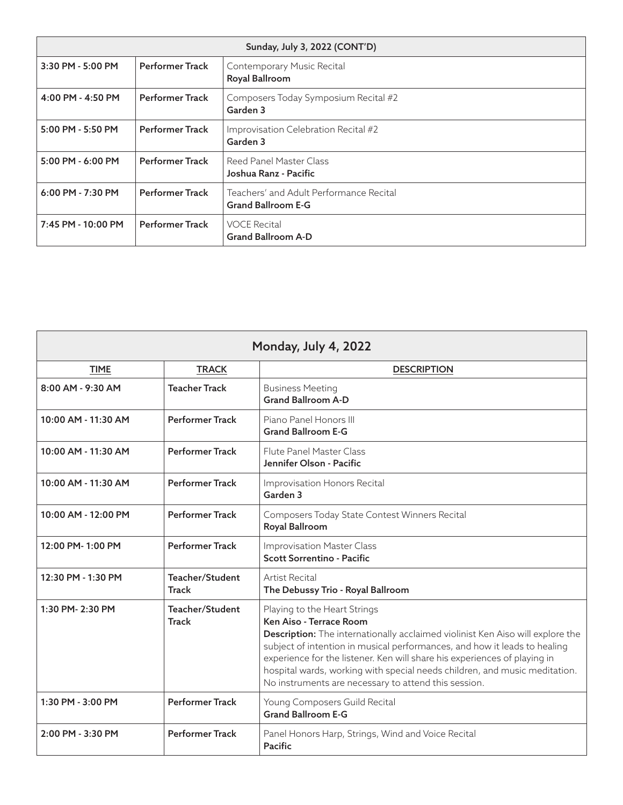| Sunday, July 3, 2022 (CONT'D) |                        |                                                                      |  |
|-------------------------------|------------------------|----------------------------------------------------------------------|--|
| 3:30 PM - 5:00 PM             | <b>Performer Track</b> | Contemporary Music Recital<br>Royal Ballroom                         |  |
| $4:00$ PM - $4:50$ PM         | <b>Performer Track</b> | Composers Today Symposium Recital #2<br>Garden 3                     |  |
| $5:00$ PM - $5:50$ PM         | <b>Performer Track</b> | Improvisation Celebration Recital #2<br>Garden 3                     |  |
| $5:00$ PM - $6:00$ PM         | <b>Performer Track</b> | <b>Reed Panel Master Class</b><br>Joshua Ranz - Pacific              |  |
| $6:00$ PM - 7:30 PM           | <b>Performer Track</b> | Teachers' and Adult Performance Recital<br><b>Grand Ballroom E-G</b> |  |
| 7:45 PM - 10:00 PM            | <b>Performer Track</b> | <b>VOCE Recital</b><br><b>Grand Ballroom A-D</b>                     |  |

| Monday, July 4, 2022 |                                 |                                                                                                                                                                                                                                                                                                                                                                                                                                                  |
|----------------------|---------------------------------|--------------------------------------------------------------------------------------------------------------------------------------------------------------------------------------------------------------------------------------------------------------------------------------------------------------------------------------------------------------------------------------------------------------------------------------------------|
| <b>TIME</b>          | <b>TRACK</b>                    | <b>DESCRIPTION</b>                                                                                                                                                                                                                                                                                                                                                                                                                               |
| 8:00 AM - 9:30 AM    | <b>Teacher Track</b>            | <b>Business Meeting</b><br><b>Grand Ballroom A-D</b>                                                                                                                                                                                                                                                                                                                                                                                             |
| 10:00 AM - 11:30 AM  | <b>Performer Track</b>          | Piano Panel Honors III<br><b>Grand Ballroom E-G</b>                                                                                                                                                                                                                                                                                                                                                                                              |
| 10:00 AM - 11:30 AM  | <b>Performer Track</b>          | Flute Panel Master Class<br>Jennifer Olson - Pacific                                                                                                                                                                                                                                                                                                                                                                                             |
| 10:00 AM - 11:30 AM  | <b>Performer Track</b>          | Improvisation Honors Recital<br>Garden 3                                                                                                                                                                                                                                                                                                                                                                                                         |
| 10:00 AM - 12:00 PM  | <b>Performer Track</b>          | Composers Today State Contest Winners Recital<br>Royal Ballroom                                                                                                                                                                                                                                                                                                                                                                                  |
| 12:00 PM-1:00 PM     | <b>Performer Track</b>          | <b>Improvisation Master Class</b><br><b>Scott Sorrentino - Pacific</b>                                                                                                                                                                                                                                                                                                                                                                           |
| 12:30 PM - 1:30 PM   | Teacher/Student<br><b>Track</b> | Artist Recital<br>The Debussy Trio - Royal Ballroom                                                                                                                                                                                                                                                                                                                                                                                              |
| 1:30 PM-2:30 PM      | Teacher/Student<br><b>Track</b> | Playing to the Heart Strings<br>Ken Aiso - Terrace Room<br><b>Description:</b> The internationally acclaimed violinist Ken Aiso will explore the<br>subject of intention in musical performances, and how it leads to healing<br>experience for the listener. Ken will share his experiences of playing in<br>hospital wards, working with special needs children, and music meditation.<br>No instruments are necessary to attend this session. |
| 1:30 PM - 3:00 PM    | <b>Performer Track</b>          | Young Composers Guild Recital<br><b>Grand Ballroom E-G</b>                                                                                                                                                                                                                                                                                                                                                                                       |
| 2:00 PM - 3:30 PM    | <b>Performer Track</b>          | Panel Honors Harp, Strings, Wind and Voice Recital<br>Pacific                                                                                                                                                                                                                                                                                                                                                                                    |